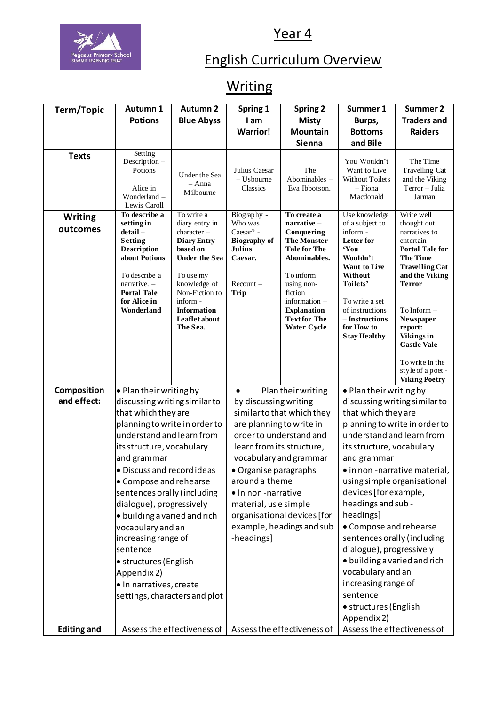

## Year 4

## English Curriculum Overview

## **Writing**

| Term/Topic                 | Autumn 1                                                                                                                                                                           | <b>Autumn 2</b>                                                                                                                                                                                                    | Spring 1                                                                                                      | <b>Spring 2</b>                                                                                                                                                                                                                   | Summer 1                                                                                                                                                                                                                 | Summer 2                                                                                                                                                                                                                                                                                  |
|----------------------------|------------------------------------------------------------------------------------------------------------------------------------------------------------------------------------|--------------------------------------------------------------------------------------------------------------------------------------------------------------------------------------------------------------------|---------------------------------------------------------------------------------------------------------------|-----------------------------------------------------------------------------------------------------------------------------------------------------------------------------------------------------------------------------------|--------------------------------------------------------------------------------------------------------------------------------------------------------------------------------------------------------------------------|-------------------------------------------------------------------------------------------------------------------------------------------------------------------------------------------------------------------------------------------------------------------------------------------|
|                            | <b>Potions</b>                                                                                                                                                                     | <b>Blue Abyss</b>                                                                                                                                                                                                  | I am                                                                                                          | <b>Misty</b>                                                                                                                                                                                                                      | Burps,                                                                                                                                                                                                                   | <b>Traders and</b>                                                                                                                                                                                                                                                                        |
|                            |                                                                                                                                                                                    |                                                                                                                                                                                                                    | <b>Warrior!</b>                                                                                               | <b>Mountain</b>                                                                                                                                                                                                                   | <b>Bottoms</b>                                                                                                                                                                                                           | <b>Raiders</b>                                                                                                                                                                                                                                                                            |
|                            |                                                                                                                                                                                    |                                                                                                                                                                                                                    |                                                                                                               | Sienna                                                                                                                                                                                                                            | and Bile                                                                                                                                                                                                                 |                                                                                                                                                                                                                                                                                           |
| <b>Texts</b>               | Setting<br>Description-<br>Potions<br>Alice in<br>Wonderland -<br>Lewis Caroll                                                                                                     | Under the Sea<br>$- Anna$<br><b>Milbourne</b>                                                                                                                                                                      | Julius Caesar<br>$-$ Usbourne<br>Classics                                                                     | The<br>Abominables -<br>Eva Ibbotson.                                                                                                                                                                                             | You Wouldn't<br>Want to Live<br><b>Without Toilets</b><br>– Fiona<br>M acdonald                                                                                                                                          | The Time<br>Travelling Cat<br>and the Viking<br>Terror - Julia<br>Jarman                                                                                                                                                                                                                  |
| <b>Writing</b><br>outcomes | To describe a<br>setting in<br>$detail -$<br><b>Setting</b><br>Description<br>about Potions<br>To describe a<br>narrative. $-$<br><b>Portal Tale</b><br>for Alice in<br>Wonderland | To write a<br>diary entry in<br>character-<br><b>Diary Entry</b><br>based on<br><b>Under the Sea</b><br>To use my<br>knowledge of<br>Non-Fiction to<br>inform -<br><b>Information</b><br>Leaflet about<br>The Sea. | Biography -<br>Who was<br>Caesar? -<br><b>Biography of</b><br><b>Julius</b><br>Caesar.<br>$Recount -$<br>Trip | To create a<br>narrative $-$<br>Conquering<br><b>The Monster</b><br><b>Tale for The</b><br>Abominables.<br>To inform<br>using non-<br>fiction<br>information -<br><b>Explanation</b><br><b>Text for The</b><br><b>Water Cycle</b> | Use knowledge<br>of a subject to<br>inform -<br>Letter for<br>'You<br>Wouldn't<br><b>Want to Live</b><br>Without<br>Toilets'<br>To write a set<br>of instructions<br>– Instructions<br>for How to<br><b>Stay Healthy</b> | Write well<br>thought out<br>narratives to<br>$entertain -$<br><b>Portal Tale for</b><br><b>The Time</b><br><b>Travelling Cat</b><br>and the Viking<br><b>Terror</b><br>$To Inform -$<br>Newspaper<br>report:<br>Vikings in<br><b>Castle Vale</b><br>To write in the<br>style of a poet - |
|                            |                                                                                                                                                                                    |                                                                                                                                                                                                                    |                                                                                                               |                                                                                                                                                                                                                                   |                                                                                                                                                                                                                          | <b>Viking Poetry</b>                                                                                                                                                                                                                                                                      |
| Composition<br>and effect: | • Plan their writing by<br>discussing writing similar to                                                                                                                           |                                                                                                                                                                                                                    | $\bullet$                                                                                                     | Plan their writing                                                                                                                                                                                                                | · Plan their writing by<br>discussing writing similar to                                                                                                                                                                 |                                                                                                                                                                                                                                                                                           |
|                            | that which they are                                                                                                                                                                |                                                                                                                                                                                                                    | by discussing writing<br>similar to that which they                                                           |                                                                                                                                                                                                                                   | that which they are                                                                                                                                                                                                      |                                                                                                                                                                                                                                                                                           |
|                            | planning to write in order to                                                                                                                                                      |                                                                                                                                                                                                                    | are planning to write in                                                                                      |                                                                                                                                                                                                                                   | planning to write in order to                                                                                                                                                                                            |                                                                                                                                                                                                                                                                                           |
|                            | understand and learn from                                                                                                                                                          |                                                                                                                                                                                                                    | order to understand and                                                                                       |                                                                                                                                                                                                                                   | understand and learn from                                                                                                                                                                                                |                                                                                                                                                                                                                                                                                           |
|                            | its structure, vocabulary                                                                                                                                                          |                                                                                                                                                                                                                    | learn from its structure,                                                                                     |                                                                                                                                                                                                                                   | its structure, vocabulary                                                                                                                                                                                                |                                                                                                                                                                                                                                                                                           |
|                            | and grammar                                                                                                                                                                        |                                                                                                                                                                                                                    | vocabulary and grammar                                                                                        |                                                                                                                                                                                                                                   | and grammar                                                                                                                                                                                                              |                                                                                                                                                                                                                                                                                           |
|                            | · Discuss and record ideas                                                                                                                                                         |                                                                                                                                                                                                                    | • Organise paragraphs                                                                                         |                                                                                                                                                                                                                                   |                                                                                                                                                                                                                          | • in non -narrative material,                                                                                                                                                                                                                                                             |
|                            | • Compose and rehearse                                                                                                                                                             |                                                                                                                                                                                                                    | around a theme                                                                                                |                                                                                                                                                                                                                                   | using simple organisational                                                                                                                                                                                              |                                                                                                                                                                                                                                                                                           |
|                            | sentences orally (including                                                                                                                                                        |                                                                                                                                                                                                                    | · In non-narrative                                                                                            |                                                                                                                                                                                                                                   | devices [for example,                                                                                                                                                                                                    |                                                                                                                                                                                                                                                                                           |
|                            | dialogue), progressively                                                                                                                                                           |                                                                                                                                                                                                                    | material, us e simple                                                                                         |                                                                                                                                                                                                                                   | headings and sub-                                                                                                                                                                                                        |                                                                                                                                                                                                                                                                                           |
|                            | · building a varied and rich                                                                                                                                                       |                                                                                                                                                                                                                    |                                                                                                               | organisational devices [for                                                                                                                                                                                                       | headings]                                                                                                                                                                                                                |                                                                                                                                                                                                                                                                                           |
|                            | vocabulary and an<br>increasing range of                                                                                                                                           |                                                                                                                                                                                                                    | example, headings and sub                                                                                     |                                                                                                                                                                                                                                   | • Compose and rehearse                                                                                                                                                                                                   |                                                                                                                                                                                                                                                                                           |
|                            | sentence                                                                                                                                                                           |                                                                                                                                                                                                                    | -headings]                                                                                                    |                                                                                                                                                                                                                                   | sentences orally (including<br>dialogue), progressively                                                                                                                                                                  |                                                                                                                                                                                                                                                                                           |
|                            |                                                                                                                                                                                    | • structures (English                                                                                                                                                                                              |                                                                                                               |                                                                                                                                                                                                                                   | · building a varied and rich                                                                                                                                                                                             |                                                                                                                                                                                                                                                                                           |
|                            | Appendix 2)                                                                                                                                                                        |                                                                                                                                                                                                                    |                                                                                                               |                                                                                                                                                                                                                                   | vocabulary and an                                                                                                                                                                                                        |                                                                                                                                                                                                                                                                                           |
|                            | · In narratives, create                                                                                                                                                            |                                                                                                                                                                                                                    |                                                                                                               |                                                                                                                                                                                                                                   | increasing range of                                                                                                                                                                                                      |                                                                                                                                                                                                                                                                                           |
|                            | settings, characters and plot                                                                                                                                                      |                                                                                                                                                                                                                    |                                                                                                               |                                                                                                                                                                                                                                   | sentence                                                                                                                                                                                                                 |                                                                                                                                                                                                                                                                                           |
|                            |                                                                                                                                                                                    |                                                                                                                                                                                                                    |                                                                                                               |                                                                                                                                                                                                                                   | • structures (English                                                                                                                                                                                                    |                                                                                                                                                                                                                                                                                           |
|                            |                                                                                                                                                                                    |                                                                                                                                                                                                                    |                                                                                                               |                                                                                                                                                                                                                                   | Appendix 2)                                                                                                                                                                                                              |                                                                                                                                                                                                                                                                                           |
| <b>Editing and</b>         | Assess the effectiveness of<br>Assess the effectiveness of                                                                                                                         |                                                                                                                                                                                                                    |                                                                                                               | Assess the effectiveness of                                                                                                                                                                                                       |                                                                                                                                                                                                                          |                                                                                                                                                                                                                                                                                           |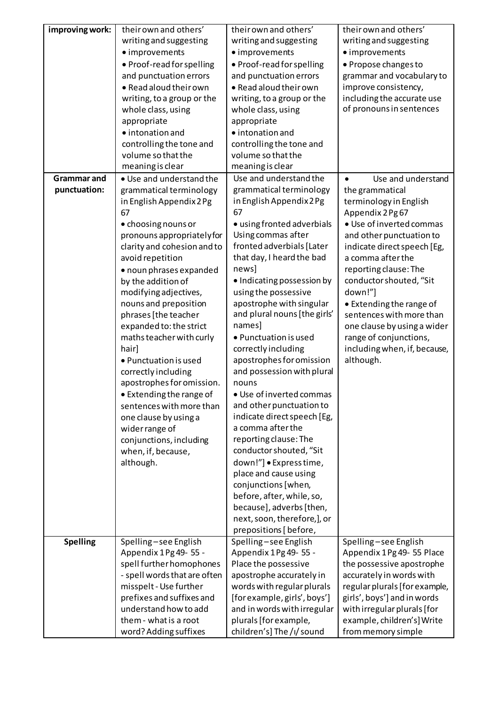| improving work:                    | their own and others'<br>writing and suggesting<br>• improvements<br>• Proof-read for spelling<br>and punctuation errors<br>· Read aloud their own<br>writing, to a group or the<br>whole class, using<br>appropriate                                                                                                                                                                                                                                                                                                                                                                                                                  | their own and others'<br>writing and suggesting<br>• improvements<br>• Proof-read for spelling<br>and punctuation errors<br>• Read aloud their own<br>writing, to a group or the<br>whole class, using<br>appropriate                                                                                                                                                                                                                                                                                                                                                                                                                                                                                                                                         | their own and others'<br>writing and suggesting<br>• improvements<br>• Propose changes to<br>grammar and vocabulary to<br>improve consistency,<br>including the accurate use<br>of pronouns in sentences                                                                                                                                                                                                                                 |
|------------------------------------|----------------------------------------------------------------------------------------------------------------------------------------------------------------------------------------------------------------------------------------------------------------------------------------------------------------------------------------------------------------------------------------------------------------------------------------------------------------------------------------------------------------------------------------------------------------------------------------------------------------------------------------|---------------------------------------------------------------------------------------------------------------------------------------------------------------------------------------------------------------------------------------------------------------------------------------------------------------------------------------------------------------------------------------------------------------------------------------------------------------------------------------------------------------------------------------------------------------------------------------------------------------------------------------------------------------------------------------------------------------------------------------------------------------|------------------------------------------------------------------------------------------------------------------------------------------------------------------------------------------------------------------------------------------------------------------------------------------------------------------------------------------------------------------------------------------------------------------------------------------|
|                                    | • intonation and<br>controlling the tone and<br>volume so that the<br>meaning is clear                                                                                                                                                                                                                                                                                                                                                                                                                                                                                                                                                 | • intonation and<br>controlling the tone and<br>volume so that the<br>meaning is clear                                                                                                                                                                                                                                                                                                                                                                                                                                                                                                                                                                                                                                                                        |                                                                                                                                                                                                                                                                                                                                                                                                                                          |
| <b>Grammar and</b><br>punctuation: | • Use and understand the<br>grammatical terminology<br>in English Appendix 2 Pg<br>67<br>• choosing nouns or<br>pronouns appropriately for<br>clarity and cohesion and to<br>avoid repetition<br>· noun phrases expanded<br>by the addition of<br>modifying adjectives,<br>nouns and preposition<br>phrases [the teacher<br>expanded to: the strict<br>maths teacher with curly<br>hair]<br>· Punctuation is used<br>correctly including<br>apostrophes for omission.<br>• Extending the range of<br>sentences with more than<br>one clause by using a<br>wider range of<br>conjunctions, including<br>when, if, because,<br>although. | Use and understand the<br>grammatical terminology<br>in English Appendix 2 Pg<br>67<br>· using fronted adverbials<br>Using commas after<br>fronted adverbials [Later<br>that day, I heard the bad<br>news]<br>• Indicating possession by<br>using the possessive<br>apostrophe with singular<br>and plural nouns [the girls'<br>names]<br>• Punctuation is used<br>correctly including<br>apostrophes for omission<br>and possession with plural<br>nouns<br>• Use of inverted commas<br>and other punctuation to<br>indicate direct speech [Eg,<br>a comma after the<br>reporting clause: The<br>conductor shouted, "Sit<br>down!"] • Express time,<br>place and cause using<br>conjunctions [when,<br>before, after, while, so,<br>because], adverbs [then, | Use and understand<br>$\bullet$<br>the grammatical<br>terminology in English<br>Appendix 2Pg 67<br>· Use of inverted commas<br>and other punctuation to<br>indicate direct speech [Eg,<br>a comma after the<br>reporting clause: The<br>conductor shouted, "Sit<br>down!"]<br>• Extending the range of<br>sentences with more than<br>one clause by using a wider<br>range of conjunctions,<br>including when, if, because,<br>although. |
|                                    |                                                                                                                                                                                                                                                                                                                                                                                                                                                                                                                                                                                                                                        | next, soon, therefore,], or<br>prepositions [ before,                                                                                                                                                                                                                                                                                                                                                                                                                                                                                                                                                                                                                                                                                                         |                                                                                                                                                                                                                                                                                                                                                                                                                                          |
| <b>Spelling</b>                    | Spelling-see English<br>Appendix 1Pg 49-55 -<br>spell further homophones<br>- spell words that are often<br>misspelt - Use further<br>prefixes and suffixes and<br>understand how to add<br>them - what is a root                                                                                                                                                                                                                                                                                                                                                                                                                      | Spelling-see English<br>Appendix 1 Pg 49-55 -<br>Place the possessive<br>apostrophe accurately in<br>words with regular plurals<br>[for example, girls', boys']<br>and in words with irregular                                                                                                                                                                                                                                                                                                                                                                                                                                                                                                                                                                | Spelling-see English<br>Appendix 1Pg 49-55 Place<br>the possessive apostrophe<br>accurately in words with<br>regular plurals [for example,<br>girls', boys'] and in words<br>with irregular plurals [for                                                                                                                                                                                                                                 |
|                                    | word? Adding suffixes                                                                                                                                                                                                                                                                                                                                                                                                                                                                                                                                                                                                                  | plurals [for example,<br>children's] The /i/ sound                                                                                                                                                                                                                                                                                                                                                                                                                                                                                                                                                                                                                                                                                                            | example, children's] Write<br>from memory simple                                                                                                                                                                                                                                                                                                                                                                                         |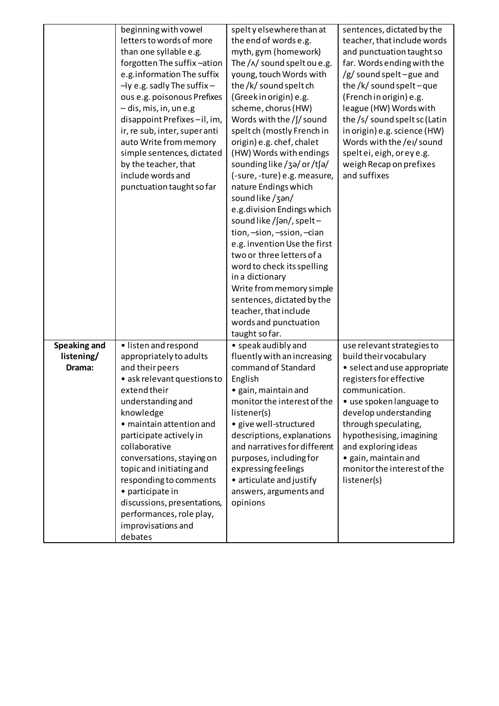|                                   | beginning with vowel                            | spelty elsewhere than at                           | sentences, dictated by the                           |  |
|-----------------------------------|-------------------------------------------------|----------------------------------------------------|------------------------------------------------------|--|
|                                   | letters to words of more                        | the end of words e.g.                              | teacher, that include words                          |  |
|                                   | than one syllable e.g.                          | myth, gym (homework)                               | and punctuation taught so                            |  |
|                                   | forgotten The suffix-ation                      | The $/\land$ sound spelt ou e.g.                   | far. Words ending with the                           |  |
|                                   | e.g.information The suffix                      | young, touch Words with                            | /g/ sound spelt-gue and                              |  |
|                                   | $-$ ly e.g. sadly The suffix $-$                | the /k/ sound spelt ch                             | the /k/ sound spelt $-$ que                          |  |
|                                   | ous e.g. poisonous Prefixes                     | (Greek in origin) e.g.                             | (French in origin) e.g.                              |  |
|                                   | - dis, mis, in, un e.g                          | scheme, chorus (HW)                                | league (HW) Words with                               |  |
|                                   | disappoint Prefixes-il, im,                     | Words with the $/\int$ sound                       | the /s/ sound spelt sc (Latin                        |  |
|                                   | ir, re sub, inter, super anti                   | spelt ch (mostly French in                         | in origin) e.g. science (HW)                         |  |
|                                   | auto Write from memory                          | origin) e.g. chef, chalet                          | Words with the /ei/ sound                            |  |
|                                   | simple sentences, dictated                      | (HW) Words with endings                            | speltei, eigh, or ey e.g.                            |  |
|                                   | by the teacher, that                            | sounding like /3a/ or /tʃa/                        | weigh Recap on prefixes                              |  |
|                                   | include words and                               | (-sure, -ture) e.g. measure,                       | and suffixes                                         |  |
|                                   | punctuation taught so far                       | nature Endings which                               |                                                      |  |
|                                   |                                                 | sound like/3an/                                    |                                                      |  |
|                                   |                                                 | e.g.division Endings which                         |                                                      |  |
|                                   |                                                 | sound like / $\int$ = n/, spelt -                  |                                                      |  |
|                                   |                                                 | tion, -sion, -ssion, -cian                         |                                                      |  |
|                                   |                                                 | e.g. invention Use the first                       |                                                      |  |
|                                   |                                                 | two or three letters of a                          |                                                      |  |
|                                   |                                                 | word to check its spelling                         |                                                      |  |
|                                   |                                                 | in a dictionary                                    |                                                      |  |
|                                   |                                                 | Write from memory simple                           |                                                      |  |
|                                   |                                                 | sentences, dictated by the                         |                                                      |  |
|                                   |                                                 |                                                    |                                                      |  |
|                                   |                                                 | teacher, that include                              |                                                      |  |
|                                   |                                                 | words and punctuation<br>taught so far.            |                                                      |  |
|                                   |                                                 |                                                    |                                                      |  |
| <b>Speaking and</b><br>listening/ | • listen and respond<br>appropriately to adults | • speak audibly and<br>fluently with an increasing | use relevant strategies to<br>build their vocabulary |  |
| Drama:                            | and their peers                                 | command of Standard                                | • select and use appropriate                         |  |
|                                   | • ask relevant questions to                     | English                                            | registers for effective                              |  |
|                                   | extend their                                    | · gain, maintain and                               | communication.                                       |  |
|                                   | understanding and                               | monitor the interest of the                        | · use spoken language to                             |  |
|                                   | knowledge                                       | listener(s)                                        | develop understanding                                |  |
|                                   | • maintain attention and                        | · give well-structured                             | through speculating,                                 |  |
|                                   | participate actively in                         | descriptions, explanations                         | hypothesising, imagining                             |  |
|                                   | collaborative                                   | and narratives for different                       | and exploring ideas                                  |  |
|                                   | conversations, staying on                       |                                                    | · gain, maintain and                                 |  |
|                                   | topic and initiating and                        | purposes, including for<br>expressing feelings     | monitor the interest of the                          |  |
|                                   | responding to comments                          | • articulate and justify                           | listener(s)                                          |  |
|                                   | • participate in                                | answers, arguments and                             |                                                      |  |
|                                   | discussions, presentations,                     | opinions                                           |                                                      |  |
|                                   |                                                 |                                                    |                                                      |  |
|                                   | performances, role play,                        |                                                    |                                                      |  |
|                                   | improvisations and                              |                                                    |                                                      |  |
|                                   | debates                                         |                                                    |                                                      |  |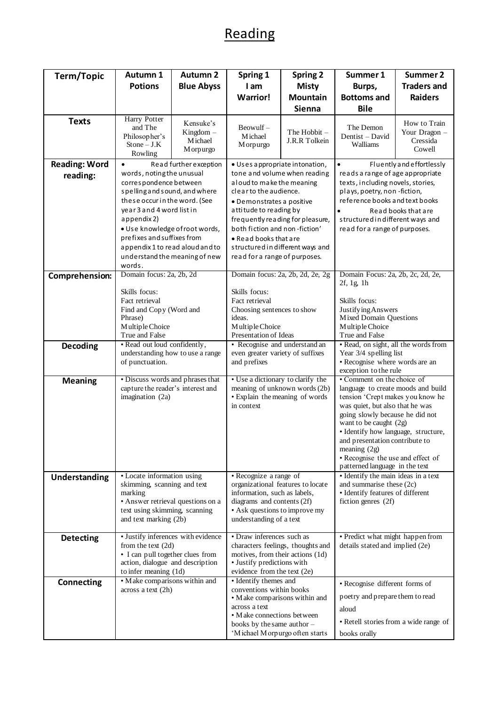## Reading

| Term/Topic                       | Autumn 1<br><b>Potions</b>                                                                                                                                                                                                                                                                                                                             | <b>Autumn 2</b><br><b>Blue Abyss</b>                 | Spring 1<br>I am                                                                                                                                                                                                                                                                                                                                  | <b>Spring 2</b><br><b>Misty</b> | Summer 1<br>Burps,                                                                                                                                                                                                                                                                                                                                                     | Summer 2<br><b>Traders and</b>                      |
|----------------------------------|--------------------------------------------------------------------------------------------------------------------------------------------------------------------------------------------------------------------------------------------------------------------------------------------------------------------------------------------------------|------------------------------------------------------|---------------------------------------------------------------------------------------------------------------------------------------------------------------------------------------------------------------------------------------------------------------------------------------------------------------------------------------------------|---------------------------------|------------------------------------------------------------------------------------------------------------------------------------------------------------------------------------------------------------------------------------------------------------------------------------------------------------------------------------------------------------------------|-----------------------------------------------------|
|                                  |                                                                                                                                                                                                                                                                                                                                                        |                                                      | <b>Warrior!</b>                                                                                                                                                                                                                                                                                                                                   | <b>Mountain</b><br>Sienna       | <b>Bottoms and</b><br><b>Bile</b>                                                                                                                                                                                                                                                                                                                                      | <b>Raiders</b>                                      |
| <b>Texts</b>                     | <b>Harry Potter</b><br>and The<br>Philosopher's<br>$Stone - J.K$<br>Rowling                                                                                                                                                                                                                                                                            | Kensuke's<br>Kingdom-<br>Michael<br><b>M</b> orpurgo | Beowulf-<br>Michael<br>Morpurgo                                                                                                                                                                                                                                                                                                                   | The Hobbit -<br>J.R.R Tolkein   | The Demon<br>Dentist - David<br>Walliams                                                                                                                                                                                                                                                                                                                               | How to Train<br>Your Dragon -<br>Cressida<br>Cowell |
| <b>Reading: Word</b><br>reading: | Read further exception<br>$\bullet$<br>words, noting the unusual<br>correspondence between<br>spelling and sound, and where<br>these occur in the word. (See<br>year 3 and 4 word list in<br>appendix 2)<br>· Use knowledge of root words,<br>prefixes and suffixes from<br>appendix 1 to read aloud and to<br>understand the meaning of new<br>words. |                                                      | · Uses a ppropriate intonation,<br>tone and volume when reading<br>a loud to make the meaning<br>clear to the audience.<br>• Demonstrates a positive<br>attitude to reading by<br>frequently reading for pleasure,<br>both fiction and non-fiction'<br>• Read books that are<br>structured in different ways and<br>read for a range of purposes. |                                 | Fluently and effortlessly<br>$\bullet$<br>reads a range of age appropriate<br>texts, including novels, stories,<br>plays, poetry, non-fiction,<br>reference books and text books<br>Read books that are<br>structured in different ways and<br>read for a range of purposes.                                                                                           |                                                     |
| Comprehension:                   | Domain focus: 2a, 2b, 2d<br>Skills focus:<br>Fact retrieval<br>Find and Copy (Word and<br>Phrase)<br>Multiple Choice<br>True and False                                                                                                                                                                                                                 |                                                      | Domain focus: 2a, 2b, 2d, 2e, 2g<br>Skills focus:<br>Fact retrieval<br>Choosing sentences to show<br>ideas.<br>Multiple Choice<br>Presentation of Ideas                                                                                                                                                                                           |                                 | Domain Focus: 2a, 2b, 2c, 2d, 2e,<br>$2f$ , 1g, 1h<br>Skills focus:<br><b>Justifying Answers</b><br><b>Mixed Domain Questions</b><br>Multiple Choice<br>True and False                                                                                                                                                                                                 |                                                     |
| <b>Decoding</b>                  | · Read out loud confidently,<br>understanding how to use a range<br>of punctuation.                                                                                                                                                                                                                                                                    |                                                      | • Recognise and understand an<br>even greater variety of suffixes<br>and prefixes                                                                                                                                                                                                                                                                 |                                 | · Read, on sight, all the words from<br>Year 3/4 spelling list<br>· Recognise where words are an<br>exception to the rule                                                                                                                                                                                                                                              |                                                     |
| <b>Meaning</b>                   | • Discuss words and phrases that<br>capture the reader's interest and<br>imagination (2a)                                                                                                                                                                                                                                                              |                                                      | • Use a dictionary to clarify the<br>meaning of unknown words (2b)<br>• Explain the meaning of words<br>in context                                                                                                                                                                                                                                |                                 | • Comment on the choice of<br>language to create moods and build<br>tension 'Crept makes you know he<br>was quiet, but also that he was<br>going slowly because he did not<br>want to be caught (2g)<br>· Identify how language, structure,<br>and presentation contribute to<br>meaning $(2g)$<br>• Recognise the use and effect of<br>patterned language in the text |                                                     |
| Understanding                    | • Locate information using<br>skimming, scanning and text<br>marking<br>• Answer retrieval questions on a<br>text using skimming, scanning<br>and text marking (2b)                                                                                                                                                                                    |                                                      | • Recognize a range of<br>organizational features to locate<br>information, such as labels,<br>diagrams and contents (2f)<br>• Ask questions to improve my<br>understanding of a text                                                                                                                                                             |                                 | • Identify the main ideas in a text<br>and summarise these (2c)<br>· Identify features of different<br>fiction genres $(2f)$                                                                                                                                                                                                                                           |                                                     |
| <b>Detecting</b>                 | · Justify inferences with evidence<br>from the text $(2d)$<br>• I can pull together clues from<br>action, dialogue and description<br>to infer meaning (1d)                                                                                                                                                                                            |                                                      | • Draw inferences such as<br>characters feelings, thoughts and<br>motives, from their actions (1d)<br>· Justify predictions with<br>evidence from the text (2e)                                                                                                                                                                                   |                                 | • Predict what might happen from<br>details stated and implied (2e)                                                                                                                                                                                                                                                                                                    |                                                     |
| <b>Connecting</b>                | • Make comparisons within and<br>across a text (2h)                                                                                                                                                                                                                                                                                                    |                                                      | • Identify themes and<br>conventions within books<br>• Make comparisons within and<br>across a text<br>• Make connections between<br>books by the same author -<br>'Michael Morpurgo often starts                                                                                                                                                 |                                 | • Recognise different forms of<br>poetry and prepare them to read<br>aloud<br>• Retell stories from a wide range of<br>books orally                                                                                                                                                                                                                                    |                                                     |